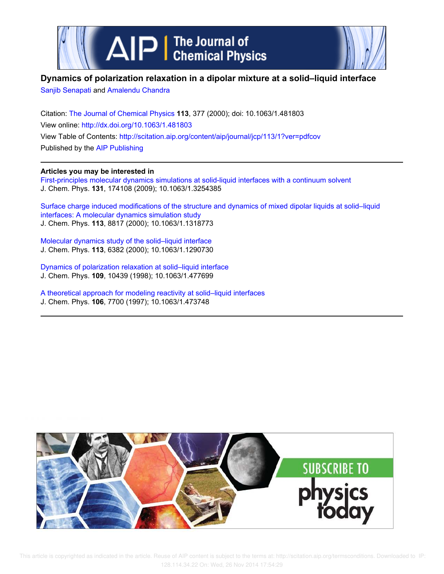

# **Dynamics of polarization relaxation in a dipolar mixture at a solid–liquid interface**

Sanjib Senapati and Amalendu Chandra

Citation: The Journal of Chemical Physics **113**, 377 (2000); doi: 10.1063/1.481803 View online: http://dx.doi.org/10.1063/1.481803 View Table of Contents: http://scitation.aip.org/content/aip/journal/jcp/113/1?ver=pdfcov Published by the AIP Publishing

## **Articles you may be interested in**

First-principles molecular dynamics simulations at solid-liquid interfaces with a continuum solvent J. Chem. Phys. **131**, 174108 (2009); 10.1063/1.3254385

Surface charge induced modifications of the structure and dynamics of mixed dipolar liquids at solid–liquid interfaces: A molecular dynamics simulation study J. Chem. Phys. **113**, 8817 (2000); 10.1063/1.1318773

Molecular dynamics study of the solid–liquid interface J. Chem. Phys. **113**, 6382 (2000); 10.1063/1.1290730

Dynamics of polarization relaxation at solid–liquid interface J. Chem. Phys. **109**, 10439 (1998); 10.1063/1.477699

A theoretical approach for modeling reactivity at solid–liquid interfaces J. Chem. Phys. **106**, 7700 (1997); 10.1063/1.473748

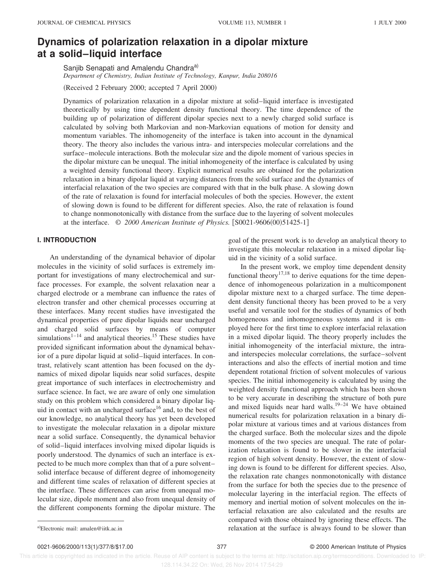# **Dynamics of polarization relaxation in a dipolar mixture at a solid–liquid interface**

Sanjib Senapati and Amalendu Chandra<sup>a)</sup> *Department of Chemistry, Indian Institute of Technology, Kanpur, India 208016*

(Received 2 February 2000; accepted 7 April 2000)

Dynamics of polarization relaxation in a dipolar mixture at solid–liquid interface is investigated theoretically by using time dependent density functional theory. The time dependence of the building up of polarization of different dipolar species next to a newly charged solid surface is calculated by solving both Markovian and non-Markovian equations of motion for density and momentum variables. The inhomogeneity of the interface is taken into account in the dynamical theory. The theory also includes the various intra- and interspecies molecular correlations and the surface–molecule interactions. Both the molecular size and the dipole moment of various species in the dipolar mixture can be unequal. The initial inhomogeneity of the interface is calculated by using a weighted density functional theory. Explicit numerical results are obtained for the polarization relaxation in a binary dipolar liquid at varying distances from the solid surface and the dynamics of interfacial relaxation of the two species are compared with that in the bulk phase. A slowing down of the rate of relaxation is found for interfacial molecules of both the species. However, the extent of slowing down is found to be different for different species. Also, the rate of relaxation is found to change nonmonotonically with distance from the surface due to the layering of solvent molecules at the interface.  $\oslash$  2000 American Institute of Physics. [S0021-9606(00)51425-1]

## **I. INTRODUCTION**

An understanding of the dynamical behavior of dipolar molecules in the vicinity of solid surfaces is extremely important for investigations of many electrochemical and surface processes. For example, the solvent relaxation near a charged electrode or a membrane can influence the rates of electron transfer and other chemical processes occurring at these interfaces. Many recent studies have investigated the dynamical properties of pure dipolar liquids near uncharged and charged solid surfaces by means of computer simulations $1-14$  and analytical theories.<sup>15</sup> These studies have provided significant information about the dynamical behavior of a pure dipolar liquid at solid–liquid interfaces. In contrast, relatively scant attention has been focused on the dynamics of mixed dipolar liquids near solid surfaces, despite great importance of such interfaces in electrochemistry and surface science. In fact, we are aware of only one simulation study on this problem which considered a binary dipolar liquid in contact with an uncharged surface $16$  and, to the best of our knowledge, no analytical theory has yet been developed to investigate the molecular relaxation in a dipolar mixture near a solid surface. Consequently, the dynamical behavior of solid–liquid interfaces involving mixed dipolar liquids is poorly understood. The dynamics of such an interface is expected to be much more complex than that of a pure solvent– solid interface because of different degree of inhomogeneity and different time scales of relaxation of different species at the interface. These differences can arise from unequal molecular size, dipole moment and also from unequal density of the different components forming the dipolar mixture. The

goal of the present work is to develop an analytical theory to investigate this molecular relaxation in a mixed dipolar liquid in the vicinity of a solid surface.

In the present work, we employ time dependent density functional theory<sup>17,18</sup> to derive equations for the time dependence of inhomogeneous polarization in a multicomponent dipolar mixture next to a charged surface. The time dependent density functional theory has been proved to be a very useful and versatile tool for the studies of dynamics of both homogeneous and inhomogeneous systems and it is employed here for the first time to explore interfacial relaxation in a mixed dipolar liquid. The theory properly includes the initial inhomogeneity of the interfacial mixture, the intraand interspecies molecular correlations, the surface–solvent interactions and also the effects of inertial motion and time dependent rotational friction of solvent molecules of various species. The initial inhomogeneity is calculated by using the weighted density functional approach which has been shown to be very accurate in describing the structure of both pure and mixed liquids near hard walls. $19-24$  We have obtained numerical results for polarization relaxation in a binary dipolar mixture at various times and at various distances from the charged surface. Both the molecular sizes and the dipole moments of the two species are unequal. The rate of polarization relaxation is found to be slower in the interfacial region of high solvent density. However, the extent of slowing down is found to be different for different species. Also, the relaxation rate changes nonmonotonically with distance from the surface for both the species due to the presence of molecular layering in the interfacial region. The effects of memory and inertial motion of solvent molecules on the interfacial relaxation are also calculated and the results are compared with those obtained by ignoring these effects. The a) Electronic mail: amalen@iitk.ac.in  $\blacksquare$  relaxation at the surface is always found to be slower than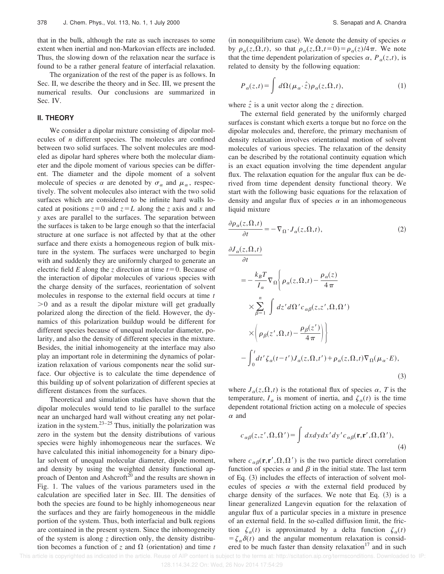that in the bulk, although the rate as such increases to some extent when inertial and non-Markovian effects are included. Thus, the slowing down of the relaxation near the surface is found to be a rather general feature of interfacial relaxation.

The organization of the rest of the paper is as follows. In Sec. II, we describe the theory and in Sec. III, we present the numerical results. Our conclusions are summarized in Sec. IV.

### **II. THEORY**

We consider a dipolar mixture consisting of dipolar molecules of *n* different species. The molecules are confined between two solid surfaces. The solvent molecules are modeled as dipolar hard spheres where both the molecular diameter and the dipole moment of various species can be different. The diameter and the dipole moment of a solvent molecule of species  $\alpha$  are denoted by  $\sigma_{\alpha}$  and  $\mu_{\alpha}$ , respectively. The solvent molecules also interact with the two solid surfaces which are considered to be infinite hard walls located at positions  $z=0$  and  $z=L$  along the *z* axis and *x* and *y* axes are parallel to the surfaces. The separation between the surfaces is taken to be large enough so that the interfacial structure at one surface is not affected by that at the other surface and there exists a homogeneous region of bulk mixture in the system. The surfaces were uncharged to begin with and suddenly they are uniformly charged to generate an electric field *E* along the *z* direction at time  $t=0$ . Because of the interaction of dipolar molecules of various species with the charge density of the surfaces, reorientation of solvent molecules in response to the external field occurs at time *t*  $>0$  and as a result the dipolar mixture will get gradually polarized along the direction of the field. However, the dynamics of this polarization buildup would be different for different species because of unequal molecular diameter, polarity, and also the density of different species in the mixture. Besides, the initial inhomogeneity at the interface may also play an important role in determining the dynamics of polarization relaxation of various components near the solid surface. Our objective is to calculate the time dependence of this building up of solvent polarization of different species at different distances from the surfaces.

Theoretical and simulation studies have shown that the dipolar molecules would tend to lie parallel to the surface near an uncharged hard wall without creating any net polarization in the system. $23-25$  Thus, initially the polarization was zero in the system but the density distributions of various species were highly inhomogeneous near the surfaces. We have calculated this initial inhomogeneity for a binary dipolar solvent of unequal molecular diameter, dipole moment, and density by using the weighted density functional approach of Denton and Ashcroft<sup>20</sup> and the results are shown in Fig. 1. The values of the various parameters used in the calculation are specified later in Sec. III. The densities of both the species are found to be highly inhomogeneous near the surfaces and they are fairly homogeneous in the middle portion of the system. Thus, both interfacial and bulk regions are contained in the present system. Since the inhomogeneity of the system is along *z* direction only, the density distribution becomes a function of *z* and  $\Omega$  (orientation) and time *t*  (in nonequilibrium case). We denote the density of species  $\alpha$ by  $\rho_{\alpha}(z,\Omega,t)$ , so that  $\rho_{\alpha}(z,\Omega,t=0) = \rho_{\alpha}(z)/4\pi$ . We note that the time dependent polarization of species  $\alpha$ ,  $P_{\alpha}(z,t)$ , is related to density by the following equation:

$$
P_{\alpha}(z,t) = \int d\Omega(\mu_{\alpha} \cdot \hat{z}) \rho_{\alpha}(z,\Omega,t), \qquad (1)
$$

where  $\hat{z}$  is a unit vector along the *z* direction.

The external field generated by the uniformly charged surfaces is constant which exerts a torque but no force on the dipolar molecules and, therefore, the primary mechanism of density relaxation involves orientational motion of solvent molecules of various species. The relaxation of the density can be described by the rotational continuity equation which is an exact equation involving the time dependent angular flux. The relaxation equation for the angular flux can be derived from time dependent density functional theory. We start with the following basic equations for the relaxation of density and angular flux of species  $\alpha$  in an inhomogeneous liquid mixture

$$
\frac{\partial \rho_{\alpha}(z,\Omega,t)}{\partial t} = -\nabla_{\Omega} \cdot J_{\alpha}(z,\Omega,t),\tag{2}
$$

$$
\frac{\partial J_{\alpha}(z,\Omega,t)}{\partial t} = -\frac{k_{B}T}{I_{\alpha}} \nabla_{\Omega} \Bigg\{ \rho_{\alpha}(z,\Omega,t) - \frac{\rho_{\alpha}(z)}{4\pi} \times \sum_{\beta=1}^{n} \int dz' d\Omega' c_{\alpha\beta}(z,z',\Omega,\Omega') \times \Bigg( \rho_{\beta}(z',\Omega,t) - \frac{\rho_{\beta}(z')}{4\pi} \Bigg) \Bigg\} - \int_{0}^{t} dt' \zeta_{\alpha}(t-t') J_{\alpha}(z,\Omega,t') + \rho_{\alpha}(z,\Omega,t) \nabla_{\Omega}(\mu_{\alpha} \cdot E), \tag{3}
$$

where  $J_{\alpha}(z,\Omega,t)$  is the rotational flux of species  $\alpha$ , *T* is the temperature,  $I_{\alpha}$  is moment of inertia, and  $\zeta_{\alpha}(t)$  is the time dependent rotational friction acting on a molecule of species  $\alpha$  and

$$
c_{\alpha\beta}(z,z',\Omega,\Omega') = \int dx dy dx' dy' c_{\alpha\beta}(\mathbf{r},\mathbf{r}',\Omega,\Omega'),
$$
\n(4)

where  $c_{\alpha\beta}(\mathbf{r}, \mathbf{r}', \Omega, \Omega')$  is the two particle direct correlation function of species  $\alpha$  and  $\beta$  in the initial state. The last term of Eq.  $(3)$  includes the effects of interaction of solvent molecules of species  $\alpha$  with the external field produced by charge density of the surfaces. We note that Eq.  $(3)$  is a linear generalized Langevin equation for the relaxation of angular flux of a particular species in a mixture in presence of an external field. In the so-called diffusion limit, the friction  $\zeta_{\alpha}(t)$  is approximated by a delta function  $\zeta_{\alpha}(t)$  $=\zeta_a \delta(t)$  and the angular momentum relaxation is considered to be much faster than density relaxation<sup>17</sup> and in such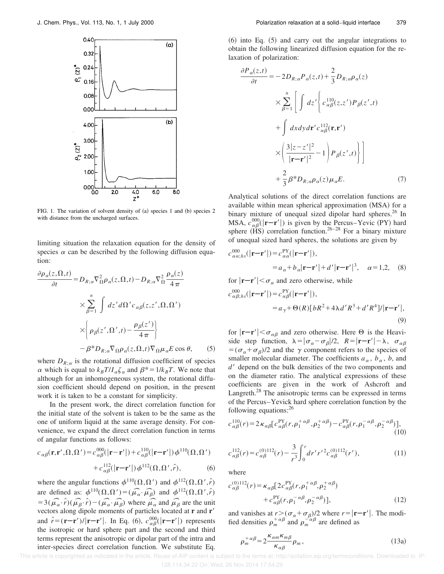

FIG. 1. The variation of solvent density of (a) species 1 and (b) species 2 with distance from the uncharged surfaces.

limiting situation the relaxation equation for the density of species  $\alpha$  can be described by the following diffusion equation:

$$
\frac{\partial \rho_{\alpha}(z,\Omega,t)}{\partial t} = D_{R;\alpha} \nabla_{\Omega}^{2} \rho_{\alpha}(z,\Omega,t) - D_{R;\alpha} \nabla_{\Omega}^{2} \frac{\rho_{\alpha}(z)}{4\pi}
$$

$$
\times \sum_{\beta=1}^{n} \int dz' d\Omega' c_{\alpha\beta}(z,z',\Omega,\Omega')
$$

$$
\times \left\{ \rho_{\beta}(z',\Omega',t) - \frac{\rho_{\beta}(z')}{4\pi} \right\}
$$

$$
- \beta^{*} D_{R;\alpha} \nabla_{\Omega} \rho_{\alpha}(z,\Omega,t) \nabla_{\Omega} \mu_{\alpha} E \cos \theta, \qquad (5)
$$

where  $D_{R;\alpha}$  is the rotational diffusion coefficient of species  $\alpha$  which is equal to  $k_B T/I_\alpha \zeta_\alpha$  and  $\beta^* = 1/k_B T$ . We note that although for an inhomogeneous system, the rotational diffusion coefficient should depend on position, in the present work it is taken to be a constant for simplicity.

In the present work, the direct correlation function for the initial state of the solvent is taken to be the same as the one of uniform liquid at the same average density. For convenience, we expand the direct correlation function in terms of angular functions as follows:

$$
c_{\alpha\beta}(\mathbf{r}, \mathbf{r}', \Omega, \Omega') = c_{\alpha\beta}^{000}(|\mathbf{r} - \mathbf{r}'|) + c_{\alpha\beta}^{110}(|\mathbf{r} - \mathbf{r}'|) \phi^{110}(\Omega, \Omega')
$$
  
+ 
$$
c_{\alpha\beta}^{112}(|\mathbf{r} - \mathbf{r}'|) \phi^{112}(\Omega, \Omega', \hat{r}),
$$
 (6)

where the angular functions  $\phi^{110}(\Omega,\Omega')$  and  $\phi^{112}(\Omega,\Omega',\hat{r})$ where the angular functions  $\phi^{110}(\Omega, \Omega')$  and  $\phi^{112}(\Omega, \Omega', \hat{r})$ <br>are defined as:  $\phi^{110}(\Omega, \Omega') = (\hat{\mu_{\alpha}} \cdot \hat{\mu_{\beta}})$  and  $\phi^{112}(\Omega, \Omega', \hat{r})$ <br>= 3( $\hat{\mu_{\alpha}} \cdot \hat{r}$ )( $\hat{\mu_{\beta}} \cdot \hat{r}$ ) – ( $\hat{\mu_{\alpha}} \cdot \hat{\mu_{\beta}}$ ) where  $\$  $=3(\widehat{\mu_{\alpha}}\cdot\hat{r})(\widehat{\mu_{\beta}}\cdot\hat{r})-(\widehat{\mu_{\alpha}}\cdot\widehat{\mu_{\beta}})$ vectors along dipole moments of particles located at **r** and **r**<sup> $6$ </sup> and  $\hat{r} = (\mathbf{r} - \mathbf{r}')/|\mathbf{r} - \mathbf{r}'|$ . In Eq. (6),  $c_{\alpha\beta}^{000}(|\mathbf{r} - \mathbf{r}'|)$  represents the isotropic or hard sphere part and the second and third terms represent the anisotropic or dipolar part of the intra and inter-species direct correlation function. We substitute Eq.  $(6)$  into Eq.  $(5)$  and carry out the angular integrations to obtain the following linearized diffusion equation for the relaxation of polarization:

$$
\frac{\partial P_{\alpha}(z,t)}{\partial t} = -2D_{R;\alpha}P_{\alpha}(z,t) + \frac{2}{3}D_{R;\alpha}\rho_{\alpha}(z)
$$

$$
\times \sum_{\beta=1}^{n} \left[ \int dz' \left\{ c_{\alpha\beta}^{110}(z,z')P_{\beta}(z',t) + \int dx dy dr' c_{\alpha\beta}^{112}(\mathbf{r},\mathbf{r'}) \right.\right.
$$

$$
\times \left( \frac{3|z-z'|^2}{|\mathbf{r}-\mathbf{r'}|^2} - 1 \right) P_{\beta}(z',t) \right\} \bigg]
$$

$$
+ \frac{2}{3} \beta^* D_{R;\alpha} \rho_{\alpha}(z) \mu_{\alpha} E. \tag{7}
$$

Analytical solutions of the direct correlation functions are available within mean spherical approximation (MSA) for a binary mixture of unequal sized dipolar hard spheres.<sup>26</sup> In MSA,  $c_{\alpha\beta}^{000}(|\mathbf{r}-\mathbf{r}'|)$  is given by the Percus–Yevic (PY) hard sphere  $(HS)$  correlation function.<sup>26–28</sup> For a binary mixture of unequal sized hard spheres, the solutions are given by

$$
c_{\alpha\alpha;hs}^{000}(|\mathbf{r}-\mathbf{r}'|) = c_{\alpha\alpha}^{\text{PY}}(|\mathbf{r}-\mathbf{r}'|),
$$
  
=  $a_{\alpha} + b_{\alpha}|\mathbf{r}-\mathbf{r}'| + d'|\mathbf{r}-\mathbf{r}'|^3, \quad \alpha = 1,2,$  (8)

for  $|\mathbf{r}-\mathbf{r}'| < \sigma_\alpha$  and zero otherwise, while

$$
c_{\alpha\beta;hs}^{000}(|\mathbf{r}-\mathbf{r}'|) = c_{\alpha\beta}^{\text{PY}}(|\mathbf{r}-\mathbf{r}'|),
$$
  
=  $a_{\gamma} + \Theta(R)[bR^2 + 4\lambda d'R^3 + d'R^4]/|\mathbf{r}-\mathbf{r}'|,$   
(9)

for  $|\mathbf{r}-\mathbf{r}'| < \sigma_{\alpha\beta}$  and zero otherwise. Here  $\Theta$  is the Heaviside step function,  $\lambda = |\sigma_{\alpha} - \sigma_{\beta}|/2$ ,  $R = |\mathbf{r} - \mathbf{r}'| - \lambda$ ,  $\sigma_{\alpha\beta}$  $=({\sigma_\alpha}+{\sigma_\beta})/2$  and the  $\gamma$  component refers to the species of smaller molecular diameter. The coefficients  $a_{\alpha}$ ,  $b_{\alpha}$ ,  $b$ , and *d'* depend on the bulk densities of the two components and on the diameter ratio. The analytical expressions of these coefficients are given in the work of Ashcroft and Langreth.<sup>28</sup> The anisotropic terms can be expressed in terms of the Percus–Yevick hard sphere correlation function by the following equations:<sup>26</sup>

$$
c_{\alpha\beta}^{110}(r) = 2\kappa_{\alpha\beta} [c_{\alpha\beta}^{\text{PY}}(r, \rho_1^{+\alpha\beta}, \rho_2^{+\alpha\beta}) - c_{\alpha\beta}^{\text{PY}}(r, \rho_1^{-\alpha\beta}, \rho_2^{-\alpha\beta})],
$$
\n(10)

$$
c_{\alpha\beta}^{112}(r) = c_{\alpha\beta}^{(0)112}(r) - \frac{3}{r^3} \int_0^r dr' \, r'^2 c_{\alpha\beta}^{(0)112}(r'),\tag{11}
$$

where

$$
c_{\alpha\beta}^{(0)112}(r) = \kappa_{\alpha\beta} \left[ 2c_{\alpha\beta}^{\text{PY}}(r, \rho_1^{+\alpha\beta}, \rho_2^{+\alpha\beta}) + c_{\alpha\beta}^{\text{PY}}(r, \rho_1^{-\alpha\beta}, \rho_2^{-\alpha\beta}) \right],
$$
\n(12)

and vanishes at  $r > (\sigma_\alpha + \sigma_\beta)/2$  where  $r = |\mathbf{r} - \mathbf{r}'|$ . The modified densities  $\rho_m^{\alpha} \alpha \rho_m^{\alpha}$  and  $\rho_m^{\alpha} \alpha \rho_m^{\alpha}$  are defined as

$$
\rho_m^{+\alpha\beta} = 2 \frac{\kappa_{\alpha m} \kappa_{m\beta}}{\kappa_{\alpha\beta}} \rho_m, \qquad (13a)
$$

This article is copyrighted as indicated in the article. Reuse of AIP content is subject to the terms at: http://scitation.aip.org/termsconditions. Downloaded to IP: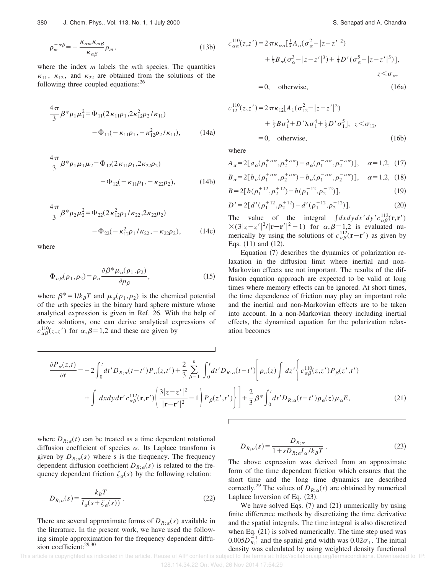$$
\rho_m^{-\alpha\beta} = -\frac{\kappa_{\alpha m}\kappa_{m\beta}}{\kappa_{\alpha\beta}}\rho_m,\tag{13b}
$$

where the index *m* labels the *m*th species. The quantities  $\kappa_{11}$ ,  $\kappa_{12}$ , and  $\kappa_{22}$  are obtained from the solutions of the following three coupled equations:<sup>26</sup>

$$
\frac{4\pi}{3}\beta^*\rho_1\mu_1^2 = \Phi_{11}(2\kappa_{11}\rho_1, 2\kappa_{12}^2\rho_2/\kappa_{11}) - \Phi_{11}(-\kappa_{11}\rho_1, -\kappa_{12}^2\rho_2/\kappa_{11}),
$$
 (14a)

$$
\frac{4\pi}{3}\beta^*\rho_1\mu_1\mu_2 = \Phi_{12}(2\kappa_{11}\rho_1, 2\kappa_{22}\rho_2) \n- \Phi_{12}(-\kappa_{11}\rho_1, -\kappa_{22}\rho_2),
$$
\n(14b)

$$
\frac{4\pi}{3}\beta^*\rho_2\mu_2^2 = \Phi_{22}(2\kappa_{12}^2\rho_1/\kappa_{22}, 2\kappa_{22}\rho_2) \n- \Phi_{22}(-\kappa_{12}^2\rho_1/\kappa_{22}, -\kappa_{22}\rho_2),
$$
\n(14c)

where

$$
\Phi_{\alpha\beta}(\rho_1, \rho_2) = \rho_\alpha \frac{\partial \beta^* \mu_\alpha(\rho_1, \rho_2)}{\partial \rho_\beta},\tag{15}
$$

where  $\beta^* = 1/k_B T$  and  $\mu_\alpha(\rho_1, \rho_2)$  is the chemical potential of the  $\alpha$ th species in the binary hard sphere mixture whose analytical expression is given in Ref. 26. With the help of above solutions, one can derive analytical expressions of  $c_{\alpha\beta}^{110}(z, z')$  for  $\alpha, \beta = 1,2$  and these are given by

$$
c_{\alpha\alpha}^{110}(z,z') = 2\pi\kappa_{\alpha\alpha}[\frac{1}{2}A_{\alpha}(\sigma_{\alpha}^2 - |z - z'|^2)
$$
  
+
$$
\frac{1}{3}B_{\alpha}(\sigma_{\alpha}^3 - |z - z'|^3) + \frac{1}{5}D'(\sigma_{\alpha}^5 - |z - z'|^5)],
$$
  

$$
z < \sigma_{\alpha},
$$
  
= 0, otherwise, (16a)

$$
c_{12}^{110}(z, z') = 2 \pi \kappa_{12} [A_1(\sigma_{12}^2 - |z - z'|^2) + \frac{1}{3} B \sigma_1^3 + D' \lambda \sigma_1^4 + \frac{1}{5} D' \sigma_1^5], \ z < \sigma_{12},
$$
  
= 0, otherwise, (16b)

where

$$
A_{\alpha} = 2[a_{\alpha}(\rho_1^{+\alpha\alpha}, \rho_2^{+\alpha\alpha}) - a_{\alpha}(\rho_1^{-\alpha\alpha}, \rho_2^{-\alpha\alpha})], \quad \alpha = 1, 2, (17)
$$

$$
B_{\alpha} = 2[b_{\alpha}(\rho_1^{+\alpha\alpha}, \rho_2^{+\alpha\alpha}) - b_{\alpha}(\rho_1^{-\alpha\alpha}, \rho_2^{-\alpha\alpha})], \quad \alpha = 1, 2, (18)
$$

$$
B = 2[b(\rho_1^{+12}, \rho_2^{+12}) - b(\rho_1^{-12}, \rho_2^{-12})],
$$
\n(19)

$$
D' = 2[d'(\rho_1^{+12}, \rho_2^{+12}) - d'(\rho_1^{-12}, \rho_2^{-12})].
$$
 (20)

The value of the integral  $\int dx dy dx' dy' c_{\alpha\beta}^{112}(\mathbf{r}, \mathbf{r}')$  $\times$ (3|z-z'|<sup>2</sup>/|**r**-**r'**|<sup>2</sup>-1) for  $\alpha$ , $\beta$ =1,2 is evaluated numerically by using the solutions of  $c_{\alpha\beta}^{112}(\mathbf{r}-\mathbf{r}')$  as given by Eqs.  $(11)$  and  $(12)$ .

Equation  $(7)$  describes the dynamics of polarization relaxation in the diffusion limit where inertial and non-Markovian effects are not important. The results of the diffusion equation approach are expected to be valid at long times where memory effects can be ignored. At short times, the time dependence of friction may play an important role and the inertial and non-Markovian effects are to be taken into account. In a non-Markovian theory including inertial effects, the dynamical equation for the polarization relaxation becomes

$$
\frac{\partial P_{\alpha}(z,t)}{\partial t} = -2 \int_{0}^{t} dt' D_{R;\alpha}(t-t') P_{\alpha}(z,t') + \frac{2}{3} \sum_{\beta=1}^{n} \int_{0}^{t} dt' D_{R;\alpha}(t-t') \left[ \rho_{\alpha}(z) \int dz' \left\{ c_{\alpha\beta}^{110}(z,z') P_{\beta}(z',t') \right. \right. \\ \left. + \int dx dy dr' c_{\alpha\beta}^{112}(\mathbf{r},\mathbf{r}') \left( \frac{3|z-z'|^{2}}{|\mathbf{r}-\mathbf{r}'|^{2}} - 1 \right) P_{\beta}(z',t') \right] \Bigg] + \frac{2}{3} \beta^{*} \int_{0}^{t} dt' D_{R;\alpha}(t-t') \rho_{\alpha}(z) \mu_{\alpha}E, \tag{21}
$$

where  $D_{R,\alpha}(t)$  can be treated as a time dependent rotational diffusion coefficient of species  $\alpha$ . Its Laplace transform is given by  $D_{R;\alpha}(s)$  where s is the frequency. The frequency dependent diffusion coefficient  $D_{R;\alpha}(s)$  is related to the frequency dependent friction  $\zeta_a(s)$  by the following relation:

$$
D_{R;\alpha}(s) = \frac{k_B T}{I_{\alpha}(s + \zeta_{\alpha}(s))} \,. \tag{22}
$$

There are several approximate forms of  $D_{R;\alpha}(s)$  available in the literature. In the present work, we have used the following simple approximation for the frequency dependent diffusion coefficient:<sup>29,30</sup>

$$
D_{R;\alpha}(s) = \frac{D_{R;\alpha}}{1 + s D_{R;\alpha} I_{\alpha} / k_{B} T} \,. \tag{23}
$$

The above expression was derived from an approximate form of the time dependent friction which ensures that the short time and the long time dynamics are described correctly.<sup>29</sup> The values of  $D_{R,\alpha}(t)$  are obtained by numerical Laplace Inversion of Eq.  $(23)$ .

We have solved Eqs.  $(7)$  and  $(21)$  numerically by using finite difference methods by discretizing the time derivative and the spatial integrals. The time integral is also discretized when Eq.  $(21)$  is solved numerically. The time step used was  $0.005D_{R;1}^{-1}$  and the spatial grid width was  $0.02\sigma_1$ . The initial density was calculated by using weighted density functional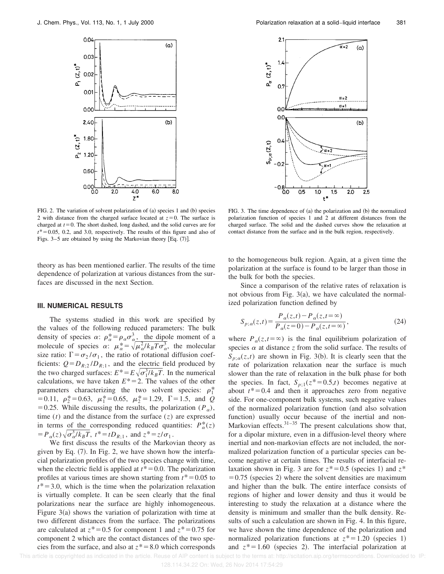

FIG. 2. The variation of solvent polarization of  $(a)$  species 1 and  $(b)$  species 2 with distance from the charged surface located at  $z=0$ . The surface is charged at  $t=0$ . The short dashed, long dashed, and the solid curves are for  $t^*$ =0.05, 0.2, and 3.0, respectively. The results of this figure and also of Figs.  $3-5$  are obtained by using the Markovian theory [Eq.  $(7)$ ].

theory as has been mentioned earlier. The results of the time dependence of polarization at various distances from the surfaces are discussed in the next Section.

#### **III. NUMERICAL RESULTS**

The systems studied in this work are specified by the values of the following reduced parameters: The bulk density of species  $\alpha$ :  $\rho_{\alpha}^* = \rho_{\alpha} \sigma_{\alpha}^3$ , the dipole moment of a molecule of species  $\alpha$ :  $\mu_{\alpha}^{*} = \sqrt{\mu_{\alpha}^{2}/k_{B}T\sigma_{\alpha}^{3}}$ , the molecular size ratio:  $\Gamma = \sigma_2/\sigma_1$ , the ratio of rotational diffusion coefficients:  $Q = D_{R,2} / D_{R,1}$ , and the electric field produced by the two charged surfaces:  $E^* = E \sqrt{\sigma_1^3 / k_B T}$ . In the numerical calculations, we have taken  $E^*=2$ . The values of the other parameters characterizing the two solvent species:  $\rho_1^*$ = 0.11,  $\rho_2^*$  = 0.63,  $\mu_1^*$  = 0.65,  $\mu_2^*$  = 1.29,  $\Gamma$  = 1.5, and *Q* =0.25. While discussing the results, the polarization ( $P_{\alpha}$ ), time (*t*) and the distance from the surface (*z*) are expressed in terms of the corresponding reduced quantities:  $P_{\alpha}^{*}(z)$  $= P_{\alpha}(z) \sqrt{\sigma_{\alpha}^{3}/k_{B}T}$ ,  $t^{*} = tD_{R;1}$ , and  $z^{*} = z/\sigma_{1}$ .

We first discuss the results of the Markovian theory as given by Eq.  $(7)$ . In Fig. 2, we have shown how the interfacial polarization profiles of the two species change with time, when the electric field is applied at  $t^* = 0.0$ . The polarization profiles at various times are shown starting from  $t^*$  = 0.05 to  $t^*$  = 3.0, which is the time when the polarization relaxation is virtually complete. It can be seen clearly that the final polarizations near the surface are highly inhomogeneous. Figure  $3(a)$  shows the variation of polarization with time at two different distances from the surface. The polarizations are calculated at  $z^*$  = 0.5 for component 1 and  $z^*$  = 0.75 for component 2 which are the contact distances of the two species from the surface, and also at  $z^* = 8.0$  which corresponds



FIG. 3. The time dependence of  $(a)$  the polarization and  $(b)$  the normalized polarization function of species 1 and 2 at different distances from the charged surface. The solid and the dashed curves show the relaxation at contact distance from the surface and in the bulk region, respectively.

to the homogeneous bulk region. Again, at a given time the polarization at the surface is found to be larger than those in the bulk for both the species.

Since a comparison of the relative rates of relaxation is not obvious from Fig.  $3(a)$ , we have calculated the normalized polarization function defined by

$$
S_{p;\alpha}(z,t) = \frac{P_{\alpha}(z,t) - P_{\alpha}(z,t=\infty)}{P_{\alpha}(z=0) - P_{\alpha}(z,t=\infty)},
$$
\n(24)

where  $P_{\alpha}(z,t=\infty)$  is the final equilibrium polarization of species  $\alpha$  at distance  $\zeta$  from the solid surface. The results of  $S_{p;\alpha}(z,t)$  are shown in Fig. 3(b). It is clearly seen that the rate of polarization relaxation near the surface is much slower than the rate of relaxation in the bulk phase for both the species. In fact,  $S_{p;1}(z^*=0.5,t)$  becomes negative at about  $t^*$ =0.4 and then it approaches zero from negative side. For one-component bulk systems, such negative values of the normalized polarization function (and also solvation function) usually occur because of the inertial and non-Markovian effects. $31-35$  The present calculations show that, for a dipolar mixture, even in a diffusion-level theory where inertial and non-markovian effects are not included, the normalized polarization function of a particular species can become negative at certain times. The results of interfacial relaxation shown in Fig. 3 are for  $z^* = 0.5$  (species 1) and  $z^*$  $=0.75$  (species 2) where the solvent densities are maximum and higher than the bulk. The entire interface consists of regions of higher and lower density and thus it would be interesting to study the relaxation at a distance where the density is minimum and smaller than the bulk density. Results of such a calculation are shown in Fig. 4. In this figure, we have shown the time dependence of the polarization and normalized polarization functions at  $z^* = 1.20$  (species 1) and  $z^* = 1.60$  (species 2). The interfacial polarization at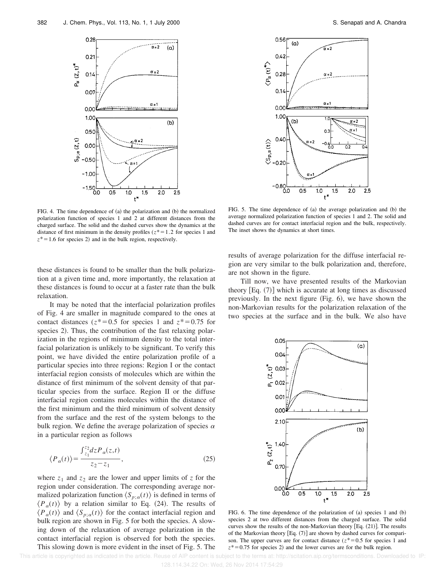

FIG. 4. The time dependence of (a) the polarization and (b) the normalized polarization function of species 1 and 2 at different distances from the charged surface. The solid and the dashed curves show the dynamics at the distance of first minimum in the density profiles ( $z^*$  = 1.2 for species 1 and  $z^*$ =1.6 for species 2) and in the bulk region, respectively.

these distances is found to be smaller than the bulk polarization at a given time and, more importantly, the relaxation at these distances is found to occur at a faster rate than the bulk relaxation.

It may be noted that the interfacial polarization profiles of Fig. 4 are smaller in magnitude compared to the ones at contact distances ( $z^*=0.5$  for species 1 and  $z^*=0.75$  for species 2). Thus, the contribution of the fast relaxing polarization in the regions of minimum density to the total interfacial polarization is unlikely to be significant. To verify this point, we have divided the entire polarization profile of a particular species into three regions: Region I or the contact interfacial region consists of molecules which are within the distance of first minimum of the solvent density of that particular species from the surface. Region II or the diffuse interfacial region contains molecules within the distance of the first minimum and the third minimum of solvent density from the surface and the rest of the system belongs to the bulk region. We define the average polarization of species  $\alpha$ in a particular region as follows

$$
\langle P_{\alpha}(t) \rangle = \frac{\int_{z_1}^{z_2} dz P_{\alpha}(z, t)}{z_2 - z_1},\tag{25}
$$

where  $z_1$  and  $z_2$  are the lower and upper limits of  $z$  for the region under consideration. The corresponding average normalized polarization function  $\langle S_{p;\alpha}(t)\rangle$  is defined in terms of  $\langle P_\alpha(t) \rangle$  by a relation similar to Eq. (24). The results of  $\langle P_\alpha(t) \rangle$  and  $\langle S_{p;\alpha}(t) \rangle$  for the contact interfacial region and bulk region are shown in Fig. 5 for both the species. A slowing down of the relaxation of average polarization in the contact interfacial region is observed for both the species. This slowing down is more evident in the inset of Fig. 5. The



FIG. 5. The time dependence of  $(a)$  the average polarization and  $(b)$  the average normalized polarization function of species 1 and 2. The solid and dashed curves are for contact interfacial region and the bulk, respectively. The inset shows the dynamics at short times.

results of average polarization for the diffuse interfacial region are very similar to the bulk polarization and, therefore, are not shown in the figure.

Till now, we have presented results of the Markovian theory  $[Eq. (7)]$  which is accurate at long times as discussed previously. In the next figure  $(Fig. 6)$ , we have shown the non-Markovian results for the polarization relaxation of the two species at the surface and in the bulk. We also have



FIG. 6. The time dependence of the polarization of  $(a)$  species 1 and  $(b)$ species 2 at two different distances from the charged surface. The solid curves show the results of the non-Markovian theory  $[Eq. (21)]$ . The results of the Markovian theory  $[Eq. (7)]$  are shown by dashed curves for comparison. The upper curves are for contact distance  $(z^*=0.5$  for species 1 and  $z^*$ =0.75 for species 2) and the lower curves are for the bulk region.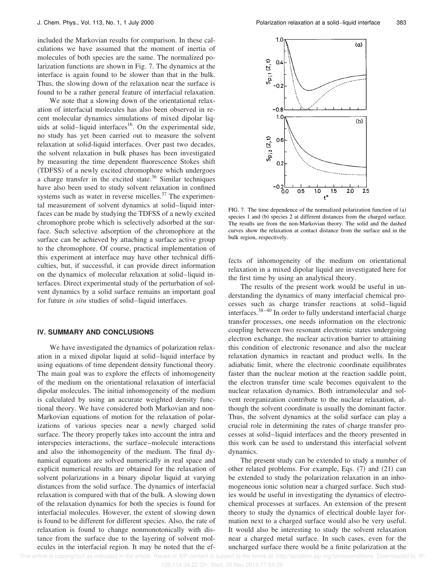included the Markovian results for comparison. In these calculations we have assumed that the moment of inertia of molecules of both species are the same. The normalized polarization functions are shown in Fig. 7. The dynamics at the interface is again found to be slower than that in the bulk. Thus, the slowing down of the relaxation near the surface is found to be a rather general feature of interfacial relaxation.

We note that a slowing down of the orientational relaxation of interfacial molecules has also been observed in recent molecular dynamics simulations of mixed dipolar liquids at solid–liquid interfaces $16$ . On the experimental side, no study has yet been carried out to measure the solvent relaxation at solid-liquid interfaces. Over past two decades, the solvent relaxation in bulk phases has been investigated by measuring the time dependent fluorescence Stokes shift (TDFSS) of a newly excited chromophore which undergoes a charge transfer in the excited state. $36$  Similar techniques have also been used to study solvent relaxation in confined systems such as water in reverse micelles. $37$  The experimental measurement of solvent dynamics at solid–liquid interfaces can be made by studying the TDFSS of a newly excited chromophore probe which is selectively adsorbed at the surface. Such selective adsorption of the chromophore at the surface can be achieved by attaching a surface active group to the chromophore. Of course, practical implementation of this experiment at interface may have other technical difficulties, but, if successful, it can provide direct information on the dynamics of molecular relaxation at solid–liquid interfaces. Direct experimental study of the perturbation of solvent dynamics by a solid surface remains an important goal for future *in situ* studies of solid–liquid interfaces.

#### **IV. SUMMARY AND CONCLUSIONS**

We have investigated the dynamics of polarization relaxation in a mixed dipolar liquid at solid–liquid interface by using equations of time dependent density functional theory. The main goal was to explore the effects of inhomogeneity of the medium on the orientational relaxation of interfacial dipolar molecules. The initial inhomogeneity of the medium is calculated by using an accurate weighted density functional theory. We have considered both Markovian and non-Markovian equations of motion for the relaxation of polarizations of various species near a newly charged solid surface. The theory properly takes into account the intra and interspecies interactions, the surface–molecule interactions and also the inhomogeneity of the medium. The final dynamical equations are solved numerically in real space and explicit numerical results are obtained for the relaxation of solvent polarizations in a binary dipolar liquid at varying distances from the solid surface. The dynamics of interfacial relaxation is compared with that of the bulk. A slowing down of the relaxation dynamics for both the species is found for interfacial molecules. However, the extent of slowing down is found to be different for different species. Also, the rate of relaxation is found to change nonmonotonically with distance from the surface due to the layering of solvent molecules in the interfacial region. It may be noted that the ef-



FIG. 7. The time dependence of the normalized polarization function of  $(a)$ species 1 and (b) species 2 at different distances from the charged surface. The results are from the non-Markovian theory. The solid and the dashed curves show the relaxation at contact distance from the surface and in the bulk region, respectively.

fects of inhomogeneity of the medium on orientational relaxation in a mixed dipolar liquid are investigated here for the first time by using an analytical theory.

The results of the present work would be useful in understanding the dynamics of many interfacial chemical processes such as charge transfer reactions at solid–liquid interfaces.38–40 In order to fully understand interfacial charge transfer processes, one needs information on the electronic coupling between two resonant electronic states undergoing electron exchange, the nuclear activation barrier to attaining this condition of electronic resonance and also the nuclear relaxation dynamics in reactant and product wells. In the adiabatic limit, where the electronic coordinate equilibrates faster than the nuclear motion at the reaction saddle point, the electron transfer time scale becomes equivalent to the nuclear relaxation dynamics. Both intramolecular and solvent reorganization contribute to the nuclear relaxation, although the solvent coordinate is usually the dominant factor. Thus, the solvent dynamics at the solid surface can play a crucial role in determining the rates of charge transfer processes at solid–liquid interfaces and the theory presented in this work can be used to understand this interfacial solvent dynamics.

The present study can be extended to study a number of other related problems. For example, Eqs.  $(7)$  and  $(21)$  can be extended to study the polarization relaxation in an inhomogeneous ionic solution near a charged surface. Such studies would be useful in investigating the dynamics of electrochemical processes at surfaces. An extension of the present theory to study the dynamics of electrical double layer formation next to a charged surface would also be very useful. It would also be interesting to study the solvent relaxation near a charged metal surface. In such cases, even for the uncharged surface there would be a finite polarization at the